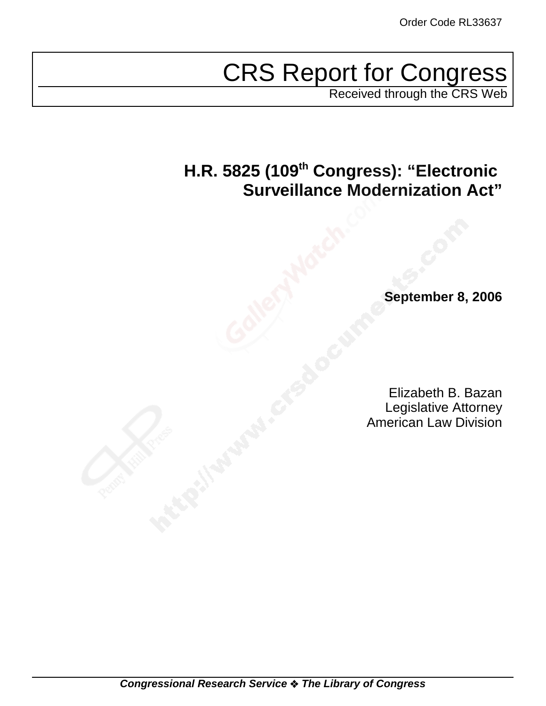# CRS Report for Congress

Received through the CRS Web

## **H.R. 5825 (109th Congress): "Electronic Surveillance Modernization Act"**

**September 8, 2006**

Elizabeth B. Bazan Legislative Attorney American Law Division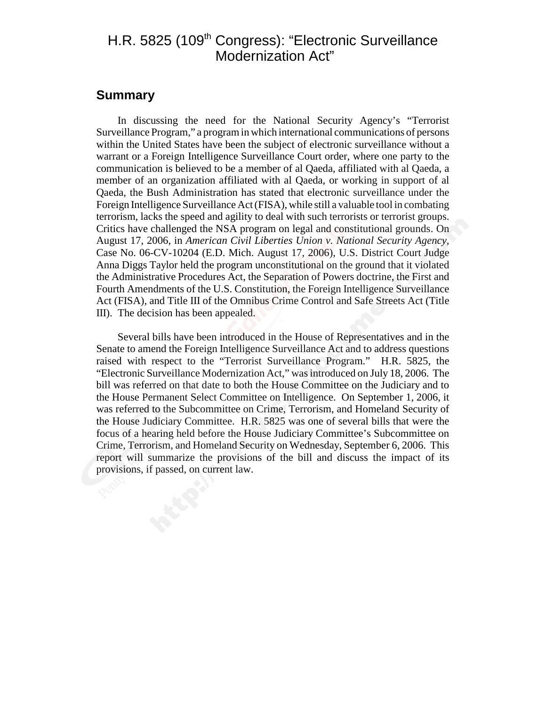## H.R. 5825 (109<sup>th</sup> Congress): "Electronic Surveillance Modernization Act"

## **Summary**

In discussing the need for the National Security Agency's "Terrorist Surveillance Program," a program in which international communications of persons within the United States have been the subject of electronic surveillance without a warrant or a Foreign Intelligence Surveillance Court order, where one party to the communication is believed to be a member of al Qaeda, affiliated with al Qaeda, a member of an organization affiliated with al Qaeda, or working in support of al Qaeda, the Bush Administration has stated that electronic surveillance under the Foreign Intelligence Surveillance Act (FISA), while still a valuable tool in combating terrorism, lacks the speed and agility to deal with such terrorists or terrorist groups. Critics have challenged the NSA program on legal and constitutional grounds. On August 17, 2006, in *American Civil Liberties Union v. National Security Agency*, Case No. 06-CV-10204 (E.D. Mich. August 17, 2006), U.S. District Court Judge Anna Diggs Taylor held the program unconstitutional on the ground that it violated the Administrative Procedures Act, the Separation of Powers doctrine, the First and Fourth Amendments of the U.S. Constitution, the Foreign Intelligence Surveillance Act (FISA), and Title III of the Omnibus Crime Control and Safe Streets Act (Title III). The decision has been appealed.

Several bills have been introduced in the House of Representatives and in the Senate to amend the Foreign Intelligence Surveillance Act and to address questions raised with respect to the "Terrorist Surveillance Program." H.R. 5825, the "Electronic Surveillance Modernization Act," was introduced on July 18, 2006. The bill was referred on that date to both the House Committee on the Judiciary and to the House Permanent Select Committee on Intelligence. On September 1, 2006, it was referred to the Subcommittee on Crime, Terrorism, and Homeland Security of the House Judiciary Committee. H.R. 5825 was one of several bills that were the focus of a hearing held before the House Judiciary Committee's Subcommittee on Crime, Terrorism, and Homeland Security on Wednesday, September 6, 2006. This report will summarize the provisions of the bill and discuss the impact of its provisions, if passed, on current law.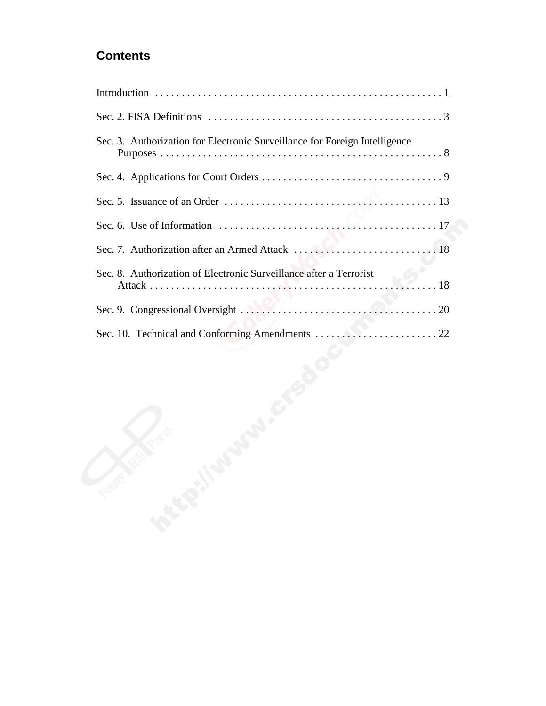## **Contents**

| Sec. 2. FISA Definitions $\dots \dots \dots \dots \dots \dots \dots \dots \dots \dots \dots \dots \dots \dots \dots$ |
|----------------------------------------------------------------------------------------------------------------------|
| Sec. 3. Authorization for Electronic Surveillance for Foreign Intelligence                                           |
|                                                                                                                      |
|                                                                                                                      |
|                                                                                                                      |
|                                                                                                                      |
| Sec. 8. Authorization of Electronic Surveillance after a Terrorist<br>$\ldots$ 18                                    |
|                                                                                                                      |
|                                                                                                                      |
| Q.<br><b>Price</b>                                                                                                   |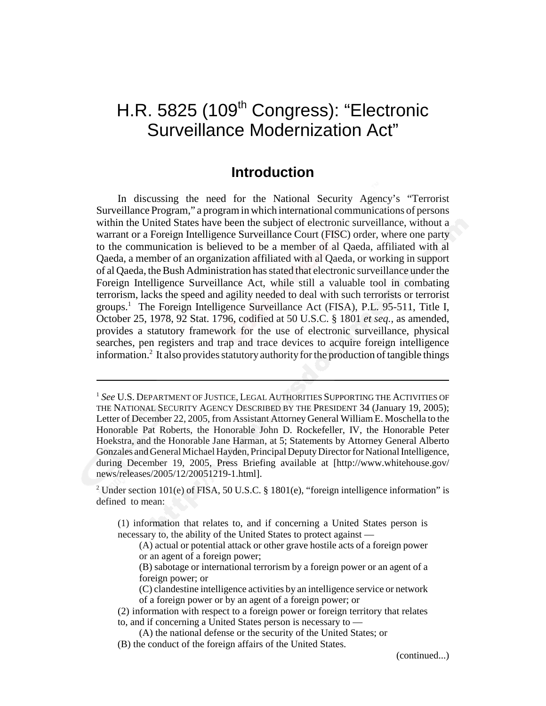## H.R. 5825 (109<sup>th</sup> Congress): "Electronic Surveillance Modernization Act"

## **Introduction**

In discussing the need for the National Security Agency's "Terrorist Surveillance Program," a program in which international communications of persons within the United States have been the subject of electronic surveillance, without a warrant or a Foreign Intelligence Surveillance Court (FISC) order, where one party to the communication is believed to be a member of al Qaeda, affiliated with al Qaeda, a member of an organization affiliated with al Qaeda, or working in support of al Qaeda, the Bush Administration has stated that electronic surveillance under the Foreign Intelligence Surveillance Act, while still a valuable tool in combating terrorism, lacks the speed and agility needed to deal with such terrorists or terrorist groups.1 The Foreign Intelligence Surveillance Act (FISA), P.L. 95-511, Title I, October 25, 1978, 92 Stat. 1796, codified at 50 U.S.C. § 1801 *et seq.*, as amended, provides a statutory framework for the use of electronic surveillance, physical searches, pen registers and trap and trace devices to acquire foreign intelligence information.<sup>2</sup> It also provides statutory authority for the production of tangible things

<sup>2</sup> Under section 101(e) of FISA, 50 U.S.C. § 1801(e), "foreign intelligence information" is defined to mean:

(1) information that relates to, and if concerning a United States person is necessary to, the ability of the United States to protect against —

(A) actual or potential attack or other grave hostile acts of a foreign power or an agent of a foreign power;

(B) sabotage or international terrorism by a foreign power or an agent of a foreign power; or

(C) clandestine intelligence activities by an intelligence service or network of a foreign power or by an agent of a foreign power; or

(2) information with respect to a foreign power or foreign territory that relates to, and if concerning a United States person is necessary to —

(A) the national defense or the security of the United States; or

(B) the conduct of the foreign affairs of the United States.

(continued...)

<sup>1</sup> *See* U.S. DEPARTMENT OF JUSTICE, LEGAL AUTHORITIES SUPPORTING THE ACTIVITIES OF THE NATIONAL SECURITY AGENCY DESCRIBED BY THE PRESIDENT 34 (January 19, 2005); Letter of December 22, 2005, from Assistant Attorney General William E. Moschella to the Honorable Pat Roberts, the Honorable John D. Rockefeller, IV, the Honorable Peter Hoekstra, and the Honorable Jane Harman, at 5; Statements by Attorney General Alberto Gonzales and General Michael Hayden, Principal Deputy Director for National Intelligence, during December 19, 2005, Press Briefing available at [http://www.whitehouse.gov/ news/releases/2005/12/20051219-1.html].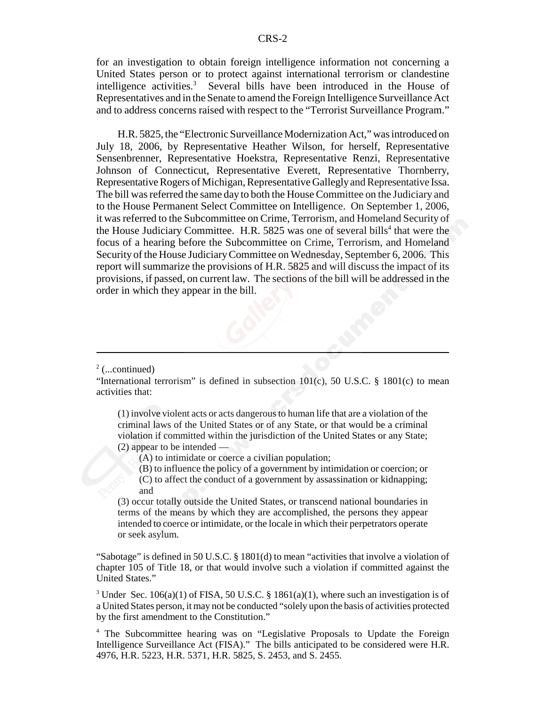for an investigation to obtain foreign intelligence information not concerning a United States person or to protect against international terrorism or clandestine intelligence activities.<sup>3</sup> Several bills have been introduced in the House of Representatives and in the Senate to amend the Foreign Intelligence Surveillance Act and to address concerns raised with respect to the "Terrorist Surveillance Program."

H.R. 5825, the "Electronic Surveillance Modernization Act," was introduced on July 18, 2006, by Representative Heather Wilson, for herself, Representative Sensenbrenner, Representative Hoekstra, Representative Renzi, Representative Johnson of Connecticut, Representative Everett, Representative Thornberry, Representative Rogers of Michigan, Representative Gallegly and Representative Issa. The bill was referred the same day to both the House Committee on the Judiciary and to the House Permanent Select Committee on Intelligence. On September 1, 2006, it was referred to the Subcommittee on Crime, Terrorism, and Homeland Security of the House Judiciary Committee. H.R.  $5825$  was one of several bills<sup>4</sup> that were the focus of a hearing before the Subcommittee on Crime, Terrorism, and Homeland Security of the House Judiciary Committee on Wednesday, September 6, 2006. This report will summarize the provisions of H.R. 5825 and will discuss the impact of its provisions, if passed, on current law. The sections of the bill will be addressed in the order in which they appear in the bill.

(1) involve violent acts or acts dangerous to human life that are a violation of the criminal laws of the United States or of any State, or that would be a criminal violation if committed within the jurisdiction of the United States or any State; (2) appear to be intended —

(A) to intimidate or coerce a civilian population;

- (B) to influence the policy of a government by intimidation or coercion; or
- (C) to affect the conduct of a government by assassination or kidnapping; and

(3) occur totally outside the United States, or transcend national boundaries in terms of the means by which they are accomplished, the persons they appear intended to coerce or intimidate, or the locale in which their perpetrators operate or seek asylum.

"Sabotage" is defined in 50 U.S.C. § 1801(d) to mean "activities that involve a violation of chapter 105 of Title 18, or that would involve such a violation if committed against the United States."

<sup>3</sup> Under Sec. 106(a)(1) of FISA, 50 U.S.C. § 1861(a)(1), where such an investigation is of a United States person, it may not be conducted "solely upon the basis of activities protected by the first amendment to the Constitution."

<sup>4</sup> The Subcommittee hearing was on "Legislative Proposals to Update the Foreign Intelligence Surveillance Act (FISA)." The bills anticipated to be considered were H.R. 4976, H.R. 5223, H.R. 5371, H.R. 5825, S. 2453, and S. 2455.

 $2$  (...continued)

<sup>&</sup>quot;International terrorism" is defined in subsection  $101(c)$ , 50 U.S.C. § 1801(c) to mean activities that: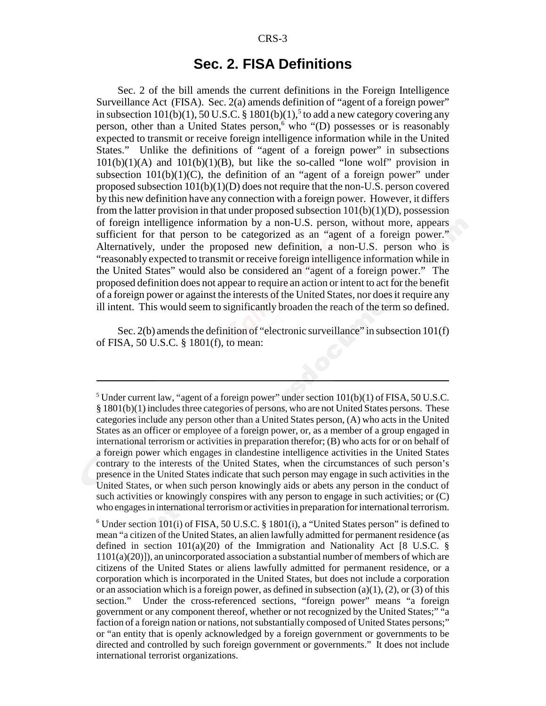## **Sec. 2. FISA Definitions**

Sec. 2 of the bill amends the current definitions in the Foreign Intelligence Surveillance Act (FISA). Sec. 2(a) amends definition of "agent of a foreign power" in subsection  $101(b)(1)$ ,  $50$  U.S.C. §  $1801(b)(1)$ ,  $5$  to add a new category covering any person, other than a United States person,<sup>6</sup> who "(D) possesses or is reasonably expected to transmit or receive foreign intelligence information while in the United States." Unlike the definitions of "agent of a foreign power" in subsections  $101(b)(1)(A)$  and  $101(b)(1)(B)$ , but like the so-called "lone wolf" provision in subsection  $101(b)(1)(C)$ , the definition of an "agent of a foreign power" under proposed subsection 101(b)(1)(D) does not require that the non-U.S. person covered by this new definition have any connection with a foreign power. However, it differs from the latter provision in that under proposed subsection  $101(b)(1)(D)$ , possession of foreign intelligence information by a non-U.S. person, without more, appears sufficient for that person to be categorized as an "agent of a foreign power." Alternatively, under the proposed new definition, a non-U.S. person who is "reasonably expected to transmit or receive foreign intelligence information while in the United States" would also be considered an "agent of a foreign power." The proposed definition does not appear to require an action or intent to act for the benefit of a foreign power or against the interests of the United States, nor does it require any ill intent. This would seem to significantly broaden the reach of the term so defined.

Sec. 2(b) amends the definition of "electronic surveillance" in subsection 101(f) of FISA, 50 U.S.C. § 1801(f), to mean:

<sup>&</sup>lt;sup>5</sup> Under current law, "agent of a foreign power" under section  $101(b)(1)$  of FISA, 50 U.S.C.  $§$  1801(b)(1) includes three categories of persons, who are not United States persons. These categories include any person other than a United States person, (A) who acts in the United States as an officer or employee of a foreign power, or, as a member of a group engaged in international terrorism or activities in preparation therefor; (B) who acts for or on behalf of a foreign power which engages in clandestine intelligence activities in the United States contrary to the interests of the United States, when the circumstances of such person's presence in the United States indicate that such person may engage in such activities in the United States, or when such person knowingly aids or abets any person in the conduct of such activities or knowingly conspires with any person to engage in such activities; or (C) who engages in international terrorism or activities in preparation for international terrorism.

<sup>&</sup>lt;sup>6</sup> Under section 101(i) of FISA, 50 U.S.C. § 1801(i), a "United States person" is defined to mean "a citizen of the United States, an alien lawfully admitted for permanent residence (as defined in section  $101(a)(20)$  of the Immigration and Nationality Act [8 U.S.C. § 1101(a)(20)]), an unincorporated association a substantial number of members of which are citizens of the United States or aliens lawfully admitted for permanent residence, or a corporation which is incorporated in the United States, but does not include a corporation or an association which is a foreign power, as defined in subsection  $(a)(1)$ ,  $(2)$ , or  $(3)$  of this section." Under the cross-referenced sections, "foreign power" means "a foreign government or any component thereof, whether or not recognized by the United States;" "a faction of a foreign nation or nations, not substantially composed of United States persons;" or "an entity that is openly acknowledged by a foreign government or governments to be directed and controlled by such foreign government or governments." It does not include international terrorist organizations.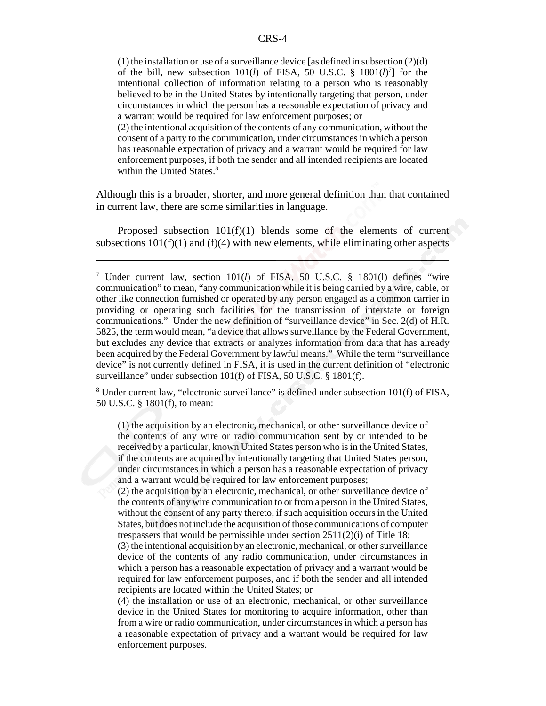(1) the installation or use of a surveillance device [as defined in subsection  $(2)(d)$ of the bill, new subsection  $101(l)$  of FISA, 50 U.S.C. §  $1801(l)^7$  for the intentional collection of information relating to a person who is reasonably believed to be in the United States by intentionally targeting that person, under circumstances in which the person has a reasonable expectation of privacy and a warrant would be required for law enforcement purposes; or

(2) the intentional acquisition of the contents of any communication, without the consent of a party to the communication, under circumstances in which a person has reasonable expectation of privacy and a warrant would be required for law enforcement purposes, if both the sender and all intended recipients are located within the United States.<sup>8</sup>

Although this is a broader, shorter, and more general definition than that contained in current law, there are some similarities in language.

Proposed subsection 101(f)(1) blends some of the elements of current subsections  $101(f)(1)$  and  $(f)(4)$  with new elements, while eliminating other aspects

<sup>8</sup> Under current law, "electronic surveillance" is defined under subsection 101(f) of FISA, 50 U.S.C. § 1801(f), to mean:

(1) the acquisition by an electronic, mechanical, or other surveillance device of the contents of any wire or radio communication sent by or intended to be received by a particular, known United States person who is in the United States, if the contents are acquired by intentionally targeting that United States person, under circumstances in which a person has a reasonable expectation of privacy and a warrant would be required for law enforcement purposes;

(2) the acquisition by an electronic, mechanical, or other surveillance device of the contents of any wire communication to or from a person in the United States, without the consent of any party thereto, if such acquisition occurs in the United States, but does not include the acquisition of those communications of computer trespassers that would be permissible under section 2511(2)(i) of Title 18;

(3) the intentional acquisition by an electronic, mechanical, or other surveillance device of the contents of any radio communication, under circumstances in which a person has a reasonable expectation of privacy and a warrant would be required for law enforcement purposes, and if both the sender and all intended recipients are located within the United States; or

(4) the installation or use of an electronic, mechanical, or other surveillance device in the United States for monitoring to acquire information, other than from a wire or radio communication, under circumstances in which a person has a reasonable expectation of privacy and a warrant would be required for law enforcement purposes.

<sup>7</sup> Under current law, section 101(*l*) of FISA, 50 U.S.C. § 1801(l) defines "wire communication" to mean, "any communication while it is being carried by a wire, cable, or other like connection furnished or operated by any person engaged as a common carrier in providing or operating such facilities for the transmission of interstate or foreign communications." Under the new definition of "surveillance device" in Sec. 2(d) of H.R. 5825, the term would mean, "a device that allows surveillance by the Federal Government, but excludes any device that extracts or analyzes information from data that has already been acquired by the Federal Government by lawful means." While the term "surveillance device" is not currently defined in FISA, it is used in the current definition of "electronic surveillance" under subsection 101(f) of FISA, 50 U.S.C. § 1801(f).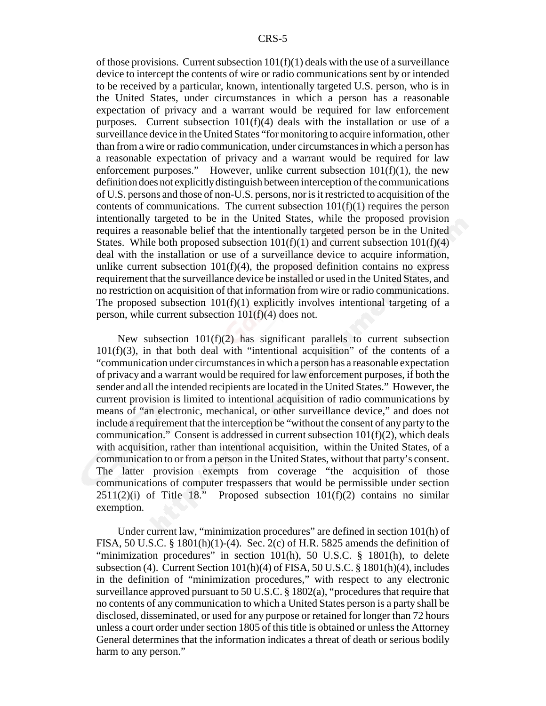of those provisions. Current subsection  $101(f)(1)$  deals with the use of a surveillance device to intercept the contents of wire or radio communications sent by or intended to be received by a particular, known, intentionally targeted U.S. person, who is in the United States, under circumstances in which a person has a reasonable expectation of privacy and a warrant would be required for law enforcement purposes. Current subsection 101(f)(4) deals with the installation or use of a surveillance device in the United States "for monitoring to acquire information, other than from a wire or radio communication, under circumstances in which a person has a reasonable expectation of privacy and a warrant would be required for law enforcement purposes." However, unlike current subsection  $101(f)(1)$ , the new definition does not explicitly distinguish between interception of the communications of U.S. persons and those of non-U.S. persons, nor is it restricted to acquisition of the contents of communications. The current subsection  $101(f)(1)$  requires the person intentionally targeted to be in the United States, while the proposed provision requires a reasonable belief that the intentionally targeted person be in the United States. While both proposed subsection  $101(f)(1)$  and current subsection  $101(f)(4)$ deal with the installation or use of a surveillance device to acquire information, unlike current subsection  $101(f)(4)$ , the proposed definition contains no express requirement that the surveillance device be installed or used in the United States, and no restriction on acquisition of that information from wire or radio communications. The proposed subsection  $101(f)(1)$  explicitly involves intentional targeting of a person, while current subsection 101(f)(4) does not.

New subsection  $101(f)(2)$  has significant parallels to current subsection  $101(f)(3)$ , in that both deal with "intentional acquisition" of the contents of a "communication under circumstances in which a person has a reasonable expectation of privacy and a warrant would be required for law enforcement purposes, if both the sender and all the intended recipients are located in the United States." However, the current provision is limited to intentional acquisition of radio communications by means of "an electronic, mechanical, or other surveillance device," and does not include a requirement that the interception be "without the consent of any party to the communication." Consent is addressed in current subsection  $101(f)(2)$ , which deals with acquisition, rather than intentional acquisition, within the United States, of a communication to or from a person in the United States, without that party's consent. The latter provision exempts from coverage "the acquisition of those communications of computer trespassers that would be permissible under section  $2511(2)(i)$  of Title 18." Proposed subsection  $101(f)(2)$  contains no similar exemption.

Under current law, "minimization procedures" are defined in section 101(h) of FISA, 50 U.S.C. § 1801(h)(1)-(4). Sec. 2(c) of H.R. 5825 amends the definition of "minimization procedures" in section 101(h), 50 U.S.C. § 1801(h), to delete subsection (4). Current Section 101(h)(4) of FISA, 50 U.S.C. § 1801(h)(4), includes in the definition of "minimization procedures," with respect to any electronic surveillance approved pursuant to 50 U.S.C. § 1802(a), "procedures that require that no contents of any communication to which a United States person is a party shall be disclosed, disseminated, or used for any purpose or retained for longer than 72 hours unless a court order under section 1805 of this title is obtained or unless the Attorney General determines that the information indicates a threat of death or serious bodily harm to any person."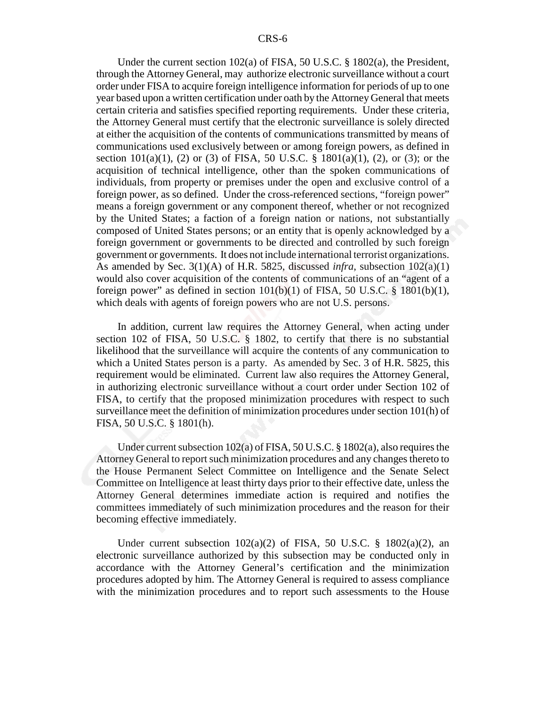Under the current section 102(a) of FISA, 50 U.S.C. § 1802(a), the President, through the Attorney General, may authorize electronic surveillance without a court order under FISA to acquire foreign intelligence information for periods of up to one year based upon a written certification under oath by the Attorney General that meets certain criteria and satisfies specified reporting requirements. Under these criteria, the Attorney General must certify that the electronic surveillance is solely directed at either the acquisition of the contents of communications transmitted by means of communications used exclusively between or among foreign powers, as defined in section 101(a)(1), (2) or (3) of FISA, 50 U.S.C. § 1801(a)(1), (2), or (3); or the acquisition of technical intelligence, other than the spoken communications of individuals, from property or premises under the open and exclusive control of a foreign power, as so defined. Under the cross-referenced sections, "foreign power" means a foreign government or any component thereof, whether or not recognized by the United States; a faction of a foreign nation or nations, not substantially composed of United States persons; or an entity that is openly acknowledged by a foreign government or governments to be directed and controlled by such foreign government or governments. It does not include international terrorist organizations. As amended by Sec. 3(1)(A) of H.R. 5825, discussed *infra*, subsection 102(a)(1) would also cover acquisition of the contents of communications of an "agent of a foreign power" as defined in section  $101(b)(1)$  of FISA, 50 U.S.C. § 1801(b)(1), which deals with agents of foreign powers who are not U.S. persons.

In addition, current law requires the Attorney General, when acting under section 102 of FISA, 50 U.S.C. § 1802, to certify that there is no substantial likelihood that the surveillance will acquire the contents of any communication to which a United States person is a party. As amended by Sec. 3 of H.R. 5825, this requirement would be eliminated. Current law also requires the Attorney General, in authorizing electronic surveillance without a court order under Section 102 of FISA, to certify that the proposed minimization procedures with respect to such surveillance meet the definition of minimization procedures under section 101(h) of FISA, 50 U.S.C. § 1801(h).

Under current subsection 102(a) of FISA, 50 U.S.C. § 1802(a), also requires the Attorney General to report such minimization procedures and any changes thereto to the House Permanent Select Committee on Intelligence and the Senate Select Committee on Intelligence at least thirty days prior to their effective date, unless the Attorney General determines immediate action is required and notifies the committees immediately of such minimization procedures and the reason for their becoming effective immediately.

Under current subsection  $102(a)(2)$  of FISA, 50 U.S.C. § 1802(a)(2), an electronic surveillance authorized by this subsection may be conducted only in accordance with the Attorney General's certification and the minimization procedures adopted by him. The Attorney General is required to assess compliance with the minimization procedures and to report such assessments to the House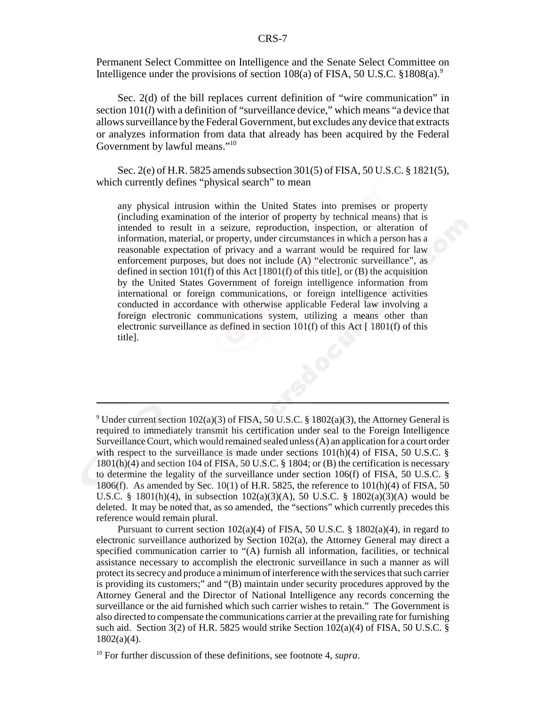Permanent Select Committee on Intelligence and the Senate Select Committee on Intelligence under the provisions of section  $108(a)$  of FISA, 50 U.S.C. §1808(a).<sup>9</sup>

Sec. 2(d) of the bill replaces current definition of "wire communication" in section 101(*l*) with a definition of "surveillance device," which means "a device that allows surveillance by the Federal Government, but excludes any device that extracts or analyzes information from data that already has been acquired by the Federal Government by lawful means."<sup>10</sup>

Sec. 2(e) of H.R. 5825 amends subsection 301(5) of FISA, 50 U.S.C. § 1821(5), which currently defines "physical search" to mean

any physical intrusion within the United States into premises or property (including examination of the interior of property by technical means) that is intended to result in a seizure, reproduction, inspection, or alteration of information, material, or property, under circumstances in which a person has a reasonable expectation of privacy and a warrant would be required for law enforcement purposes, but does not include (A) "electronic surveillance", as defined in section 101(f) of this Act  $[1801(f)$  of this title], or (B) the acquisition by the United States Government of foreign intelligence information from international or foreign communications, or foreign intelligence activities conducted in accordance with otherwise applicable Federal law involving a foreign electronic communications system, utilizing a means other than electronic surveillance as defined in section  $101(f)$  of this Act [  $1801(f)$  of this title].

<sup>&</sup>lt;sup>9</sup> Under current section 102(a)(3) of FISA, 50 U.S.C. § 1802(a)(3), the Attorney General is required to immediately transmit his certification under seal to the Foreign Intelligence Surveillance Court, which would remained sealed unless (A) an application for a court order with respect to the surveillance is made under sections  $101(h)(4)$  of FISA, 50 U.S.C. § 1801(h)(4) and section 104 of FISA, 50 U.S.C. § 1804; or (B) the certification is necessary to determine the legality of the surveillance under section 106(f) of FISA, 50 U.S.C. § 1806(f). As amended by Sec. 10(1) of H.R. 5825, the reference to 101(h)(4) of FISA, 50 U.S.C. § 1801(h)(4), in subsection 102(a)(3)(A), 50 U.S.C. § 1802(a)(3)(A) would be deleted. It may be noted that, as so amended, the "sections" which currently precedes this reference would remain plural.

Pursuant to current section 102(a)(4) of FISA, 50 U.S.C. § 1802(a)(4), in regard to electronic surveillance authorized by Section 102(a), the Attorney General may direct a specified communication carrier to "(A) furnish all information, facilities, or technical assistance necessary to accomplish the electronic surveillance in such a manner as will protect its secrecy and produce a minimum of interference with the services that such carrier is providing its customers;" and "(B) maintain under security procedures approved by the Attorney General and the Director of National Intelligence any records concerning the surveillance or the aid furnished which such carrier wishes to retain." The Government is also directed to compensate the communications carrier at the prevailing rate for furnishing such aid. Section 3(2) of H.R. 5825 would strike Section  $102(a)(4)$  of FISA, 50 U.S.C. § 1802(a)(4).

<sup>10</sup> For further discussion of these definitions, see footnote 4, *supra*.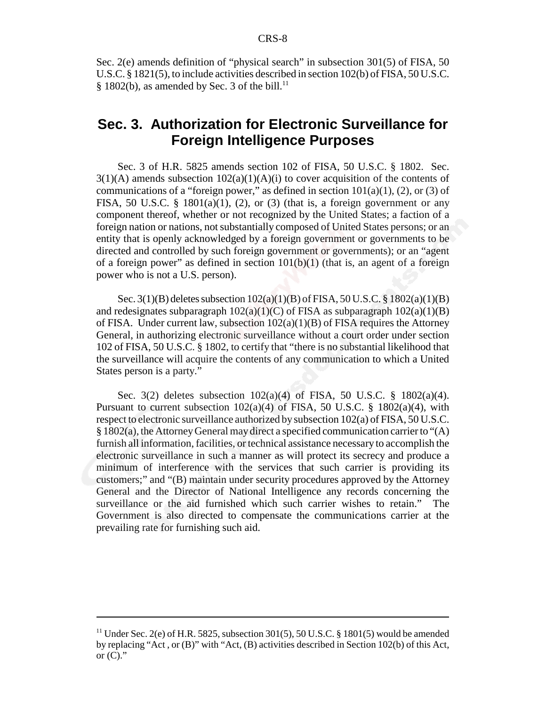Sec. 2(e) amends definition of "physical search" in subsection 301(5) of FISA, 50 U.S.C. § 1821(5), to include activities described in section 102(b) of FISA, 50 U.S.C. § 1802(b), as amended by Sec. 3 of the bill.<sup>11</sup>

## **Sec. 3. Authorization for Electronic Surveillance for Foreign Intelligence Purposes**

Sec. 3 of H.R. 5825 amends section 102 of FISA, 50 U.S.C. § 1802. Sec.  $3(1)(A)$  amends subsection  $102(a)(1)(A)(i)$  to cover acquisition of the contents of communications of a "foreign power," as defined in section  $101(a)(1)$ , (2), or (3) of FISA, 50 U.S.C. §  $1801(a)(1)$ , (2), or (3) (that is, a foreign government or any component thereof, whether or not recognized by the United States; a faction of a foreign nation or nations, not substantially composed of United States persons; or an entity that is openly acknowledged by a foreign government or governments to be directed and controlled by such foreign government or governments); or an "agent of a foreign power" as defined in section  $101(b)(1)$  (that is, an agent of a foreign power who is not a U.S. person).

Sec. 3(1)(B) deletes subsection 102(a)(1)(B) of FISA, 50 U.S.C. § 1802(a)(1)(B) and redesignates subparagraph  $102(a)(1)(C)$  of FISA as subparagraph  $102(a)(1)(B)$ of FISA. Under current law, subsection 102(a)(1)(B) of FISA requires the Attorney General, in authorizing electronic surveillance without a court order under section 102 of FISA, 50 U.S.C. § 1802, to certify that "there is no substantial likelihood that the surveillance will acquire the contents of any communication to which a United States person is a party."

Sec. 3(2) deletes subsection 102(a)(4) of FISA, 50 U.S.C. § 1802(a)(4). Pursuant to current subsection  $102(a)(4)$  of FISA, 50 U.S.C. §  $1802(a)(4)$ , with respect to electronic surveillance authorized by subsection 102(a) of FISA, 50 U.S.C. § 1802(a), the Attorney General may direct a specified communication carrier to "(A) furnish all information, facilities, or technical assistance necessary to accomplish the electronic surveillance in such a manner as will protect its secrecy and produce a minimum of interference with the services that such carrier is providing its customers;" and "(B) maintain under security procedures approved by the Attorney General and the Director of National Intelligence any records concerning the surveillance or the aid furnished which such carrier wishes to retain." The Government is also directed to compensate the communications carrier at the prevailing rate for furnishing such aid.

<sup>&</sup>lt;sup>11</sup> Under Sec. 2(e) of H.R. 5825, subsection 301(5), 50 U.S.C. § 1801(5) would be amended by replacing "Act , or (B)" with "Act, (B) activities described in Section 102(b) of this Act, or  $(C)$ ."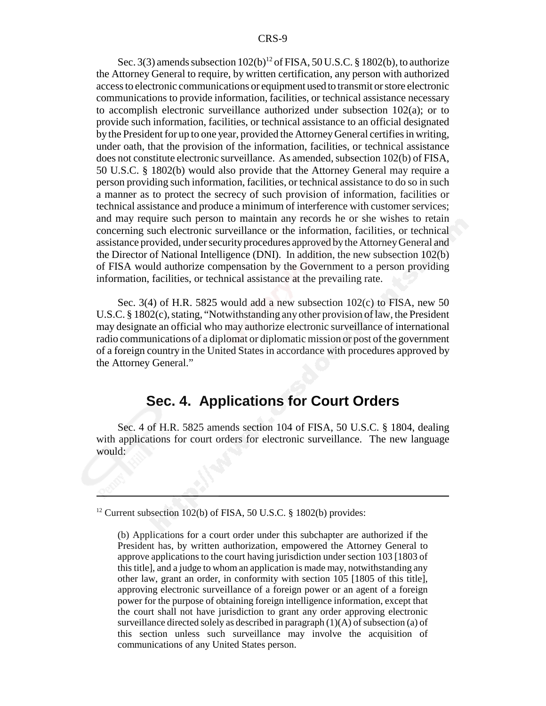Sec. 3(3) amends subsection  $102(b)^{12}$  of FISA, 50 U.S.C. § 1802(b), to authorize the Attorney General to require, by written certification, any person with authorized access to electronic communications or equipment used to transmit or store electronic communications to provide information, facilities, or technical assistance necessary to accomplish electronic surveillance authorized under subsection 102(a); or to provide such information, facilities, or technical assistance to an official designated by the President for up to one year, provided the Attorney General certifies in writing, under oath, that the provision of the information, facilities, or technical assistance does not constitute electronic surveillance. As amended, subsection 102(b) of FISA, 50 U.S.C. § 1802(b) would also provide that the Attorney General may require a person providing such information, facilities, or technical assistance to do so in such a manner as to protect the secrecy of such provision of information, facilities or technical assistance and produce a minimum of interference with customer services; and may require such person to maintain any records he or she wishes to retain concerning such electronic surveillance or the information, facilities, or technical assistance provided, under security procedures approved by the Attorney General and the Director of National Intelligence (DNI). In addition, the new subsection 102(b) of FISA would authorize compensation by the Government to a person providing information, facilities, or technical assistance at the prevailing rate.

Sec. 3(4) of H.R. 5825 would add a new subsection 102(c) to FISA, new 50 U.S.C. § 1802(c), stating, "Notwithstanding any other provision of law, the President may designate an official who may authorize electronic surveillance of international radio communications of a diplomat or diplomatic mission or post of the government of a foreign country in the United States in accordance with procedures approved by the Attorney General."

## **Sec. 4. Applications for Court Orders**

Sec. 4 of H.R. 5825 amends section 104 of FISA, 50 U.S.C. § 1804, dealing with applications for court orders for electronic surveillance. The new language would:

<sup>&</sup>lt;sup>12</sup> Current subsection 102(b) of FISA, 50 U.S.C.  $\S$  1802(b) provides:

<sup>(</sup>b) Applications for a court order under this subchapter are authorized if the President has, by written authorization, empowered the Attorney General to approve applications to the court having jurisdiction under section 103 [1803 of this title], and a judge to whom an application is made may, notwithstanding any other law, grant an order, in conformity with section 105 [1805 of this title], approving electronic surveillance of a foreign power or an agent of a foreign power for the purpose of obtaining foreign intelligence information, except that the court shall not have jurisdiction to grant any order approving electronic surveillance directed solely as described in paragraph (1)(A) of subsection (a) of this section unless such surveillance may involve the acquisition of communications of any United States person.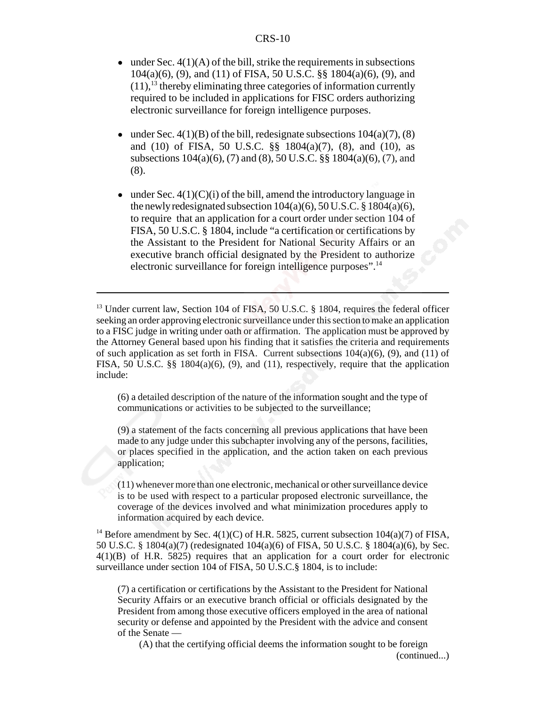- $\bullet$  under Sec. 4(1)(A) of the bill, strike the requirements in subsections 104(a)(6), (9), and (11) of FISA, 50 U.S.C. §§ 1804(a)(6), (9), and  $(11)$ ,<sup>13</sup> thereby eliminating three categories of information currently required to be included in applications for FISC orders authorizing electronic surveillance for foreign intelligence purposes.
- $\bullet$  under Sec. 4(1)(B) of the bill, redesignate subsections 104(a)(7), (8) and (10) of FISA, 50 U.S.C. §§ 1804(a)(7), (8), and (10), as subsections 104(a)(6), (7) and (8), 50 U.S.C. §§ 1804(a)(6), (7), and (8).
- $\bullet$  under Sec. 4(1)(C)(i) of the bill, amend the introductory language in the newly redesignated subsection  $104(a)(6)$ ,  $50 U.S.C. \$ §  $1804(a)(6)$ , to require that an application for a court order under section 104 of FISA, 50 U.S.C. § 1804, include "a certification or certifications by the Assistant to the President for National Security Affairs or an executive branch official designated by the President to authorize electronic surveillance for foreign intelligence purposes".<sup>14</sup>

(6) a detailed description of the nature of the information sought and the type of communications or activities to be subjected to the surveillance;

(9) a statement of the facts concerning all previous applications that have been made to any judge under this subchapter involving any of the persons, facilities, or places specified in the application, and the action taken on each previous application;

(11) whenever more than one electronic, mechanical or other surveillance device is to be used with respect to a particular proposed electronic surveillance, the coverage of the devices involved and what minimization procedures apply to information acquired by each device.

<sup>14</sup> Before amendment by Sec.  $4(1)(C)$  of H.R. 5825, current subsection  $104(a)(7)$  of FISA, 50 U.S.C. § 1804(a)(7) (redesignated 104(a)(6) of FISA, 50 U.S.C. § 1804(a)(6), by Sec. 4(1)(B) of H.R. 5825) requires that an application for a court order for electronic surveillance under section 104 of FISA, 50 U.S.C.§ 1804, is to include:

(7) a certification or certifications by the Assistant to the President for National Security Affairs or an executive branch official or officials designated by the President from among those executive officers employed in the area of national security or defense and appointed by the President with the advice and consent of the Senate —

(A) that the certifying official deems the information sought to be foreign (continued...)

<sup>&</sup>lt;sup>13</sup> Under current law, Section 104 of FISA, 50 U.S.C. § 1804, requires the federal officer seeking an order approving electronic surveillance under this section to make an application to a FISC judge in writing under oath or affirmation. The application must be approved by the Attorney General based upon his finding that it satisfies the criteria and requirements of such application as set forth in FISA. Current subsections  $104(a)(6)$ ,  $(9)$ , and  $(11)$  of FISA, 50 U.S.C. §§ 1804(a)(6), (9), and (11), respectively, require that the application include: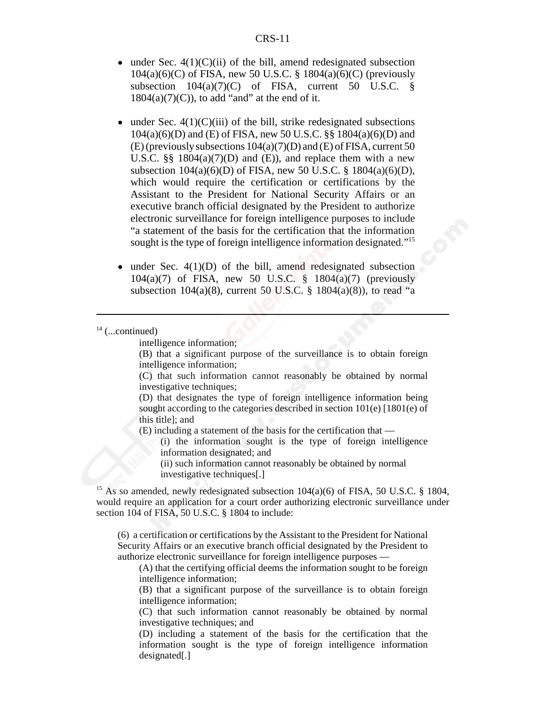- $\bullet$  under Sec. 4(1)(C)(ii) of the bill, amend redesignated subsection 104(a)(6)(C) of FISA, new 50 U.S.C. § 1804(a)(6)(C) (previously subsection  $104(a)(7)(C)$  of FISA, current 50 U.S.C. §  $1804(a)(7)(C)$ , to add "and" at the end of it.
- $\bullet$  under Sec. 4(1)(C)(iii) of the bill, strike redesignated subsections 104(a)(6)(D) and (E) of FISA, new 50 U.S.C. §§ 1804(a)(6)(D) and (E) (previously subsections 104(a)(7)(D) and (E) of FISA, current 50 U.S.C.  $\S$ § 1804(a)(7)(D) and (E)), and replace them with a new subsection 104(a)(6)(D) of FISA, new 50 U.S.C. § 1804(a)(6)(D), which would require the certification or certifications by the Assistant to the President for National Security Affairs or an executive branch official designated by the President to authorize electronic surveillance for foreign intelligence purposes to include "a statement of the basis for the certification that the information sought is the type of foreign intelligence information designated."<sup>15</sup>
- $\bullet$  under Sec. 4(1)(D) of the bill, amend redesignated subsection 104(a)(7) of FISA, new 50 U.S.C. § 1804(a)(7) (previously subsection 104(a)(8), current 50 U.S.C.  $\S$  1804(a)(8)), to read "a

intelligence information;

(B) that a significant purpose of the surveillance is to obtain foreign intelligence information;

(C) that such information cannot reasonably be obtained by normal investigative techniques;

(D) that designates the type of foreign intelligence information being sought according to the categories described in section 101(e) [1801(e) of this title]; and

(E) including a statement of the basis for the certification that —

(i) the information sought is the type of foreign intelligence information designated; and

(ii) such information cannot reasonably be obtained by normal investigative techniques[.]

<sup>15</sup> As so amended, newly redesignated subsection  $104(a)(6)$  of FISA, 50 U.S.C. § 1804, would require an application for a court order authorizing electronic surveillance under section 104 of FISA, 50 U.S.C. § 1804 to include:

(6) a certification or certifications by the Assistant to the President for National Security Affairs or an executive branch official designated by the President to authorize electronic surveillance for foreign intelligence purposes —

(A) that the certifying official deems the information sought to be foreign intelligence information;

(B) that a significant purpose of the surveillance is to obtain foreign intelligence information;

(C) that such information cannot reasonably be obtained by normal investigative techniques; and

(D) including a statement of the basis for the certification that the information sought is the type of foreign intelligence information designated[.]

 $14$  (...continued)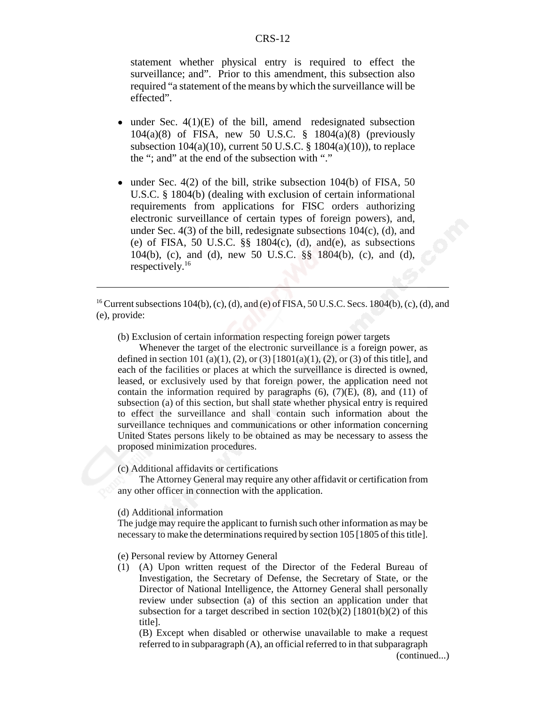statement whether physical entry is required to effect the surveillance; and". Prior to this amendment, this subsection also required "a statement of the means by which the surveillance will be effected".

- $\bullet$  under Sec. 4(1)(E) of the bill, amend redesignated subsection 104(a)(8) of FISA, new 50 U.S.C. § 1804(a)(8) (previously subsection  $104(a)(10)$ , current 50 U.S.C. §  $1804(a)(10)$ , to replace the "; and" at the end of the subsection with "."
- $\bullet$  under Sec. 4(2) of the bill, strike subsection 104(b) of FISA, 50 U.S.C. § 1804(b) (dealing with exclusion of certain informational requirements from applications for FISC orders authorizing electronic surveillance of certain types of foreign powers), and, under Sec.  $4(3)$  of the bill, redesignate subsections  $104(c)$ , (d), and (e) of FISA, 50 U.S.C.  $\S\S$  1804(c), (d), and(e), as subsections 104(b), (c), and (d), new 50 U.S.C. §§ 1804(b), (c), and (d), respectively.16

<sup>16</sup> Current subsections 104(b), (c), (d), and (e) of FISA, 50 U.S.C. Secs. 1804(b), (c), (d), and (e), provide:

(b) Exclusion of certain information respecting foreign power targets

Whenever the target of the electronic surveillance is a foreign power, as defined in section 101 (a)(1), (2), or (3)  $[1801(a)(1), (2),$  or (3) of this title], and each of the facilities or places at which the surveillance is directed is owned, leased, or exclusively used by that foreign power, the application need not contain the information required by paragraphs  $(6)$ ,  $(7)(E)$ ,  $(8)$ , and  $(11)$  of subsection (a) of this section, but shall state whether physical entry is required to effect the surveillance and shall contain such information about the surveillance techniques and communications or other information concerning United States persons likely to be obtained as may be necessary to assess the proposed minimization procedures.

#### (c) Additional affidavits or certifications

The Attorney General may require any other affidavit or certification from any other officer in connection with the application.

#### (d) Additional information

The judge may require the applicant to furnish such other information as may be necessary to make the determinations required by section 105 [1805 of this title].

(e) Personal review by Attorney General

(1) (A) Upon written request of the Director of the Federal Bureau of Investigation, the Secretary of Defense, the Secretary of State, or the Director of National Intelligence, the Attorney General shall personally review under subsection (a) of this section an application under that subsection for a target described in section  $102(b)(2)$  [1801(b)(2) of this title].

(B) Except when disabled or otherwise unavailable to make a request referred to in subparagraph (A), an official referred to in that subparagraph

(continued...)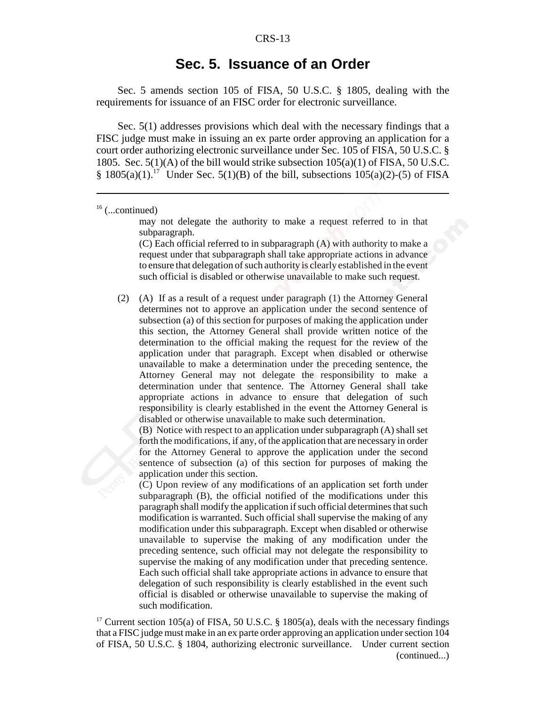## **Sec. 5. Issuance of an Order**

Sec. 5 amends section 105 of FISA, 50 U.S.C. § 1805, dealing with the requirements for issuance of an FISC order for electronic surveillance.

Sec. 5(1) addresses provisions which deal with the necessary findings that a FISC judge must make in issuing an ex parte order approving an application for a court order authorizing electronic surveillance under Sec. 105 of FISA, 50 U.S.C. § 1805. Sec.  $5(1)(A)$  of the bill would strike subsection  $105(a)(1)$  of FISA,  $50$  U.S.C. § 1805(a)(1).<sup>17</sup> Under Sec. 5(1)(B) of the bill, subsections 105(a)(2)-(5) of FISA

may not delegate the authority to make a request referred to in that subparagraph.

(C) Each official referred to in subparagraph (A) with authority to make a request under that subparagraph shall take appropriate actions in advance to ensure that delegation of such authority is clearly established in the event such official is disabled or otherwise unavailable to make such request.

(2) (A) If as a result of a request under paragraph (1) the Attorney General determines not to approve an application under the second sentence of subsection (a) of this section for purposes of making the application under this section, the Attorney General shall provide written notice of the determination to the official making the request for the review of the application under that paragraph. Except when disabled or otherwise unavailable to make a determination under the preceding sentence, the Attorney General may not delegate the responsibility to make a determination under that sentence. The Attorney General shall take appropriate actions in advance to ensure that delegation of such responsibility is clearly established in the event the Attorney General is disabled or otherwise unavailable to make such determination.

(B) Notice with respect to an application under subparagraph (A) shall set forth the modifications, if any, of the application that are necessary in order for the Attorney General to approve the application under the second sentence of subsection (a) of this section for purposes of making the application under this section.

(C) Upon review of any modifications of an application set forth under subparagraph (B), the official notified of the modifications under this paragraph shall modify the application if such official determines that such modification is warranted. Such official shall supervise the making of any modification under this subparagraph. Except when disabled or otherwise unavailable to supervise the making of any modification under the preceding sentence, such official may not delegate the responsibility to supervise the making of any modification under that preceding sentence. Each such official shall take appropriate actions in advance to ensure that delegation of such responsibility is clearly established in the event such official is disabled or otherwise unavailable to supervise the making of such modification.

<sup>17</sup> Current section 105(a) of FISA, 50 U.S.C. § 1805(a), deals with the necessary findings that a FISC judge must make in an ex parte order approving an application under section 104 of FISA, 50 U.S.C. § 1804, authorizing electronic surveillance. Under current section (continued...)

 $16$  (...continued)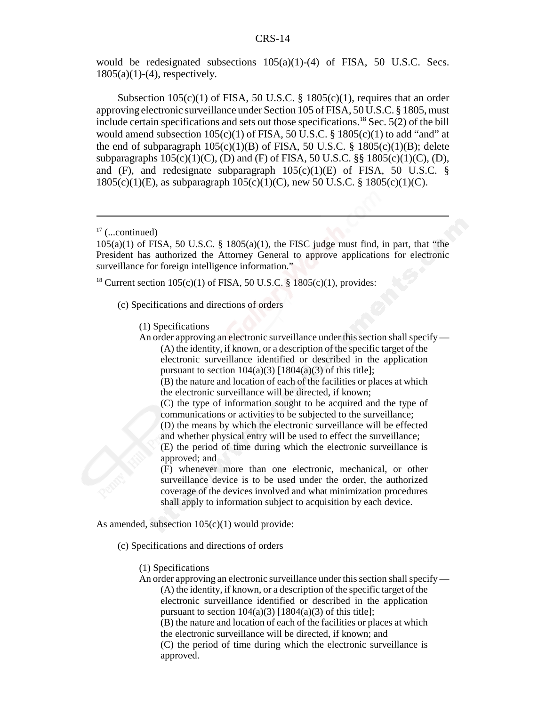would be redesignated subsections  $105(a)(1)-(4)$  of FISA, 50 U.S.C. Secs.  $1805(a)(1)-(4)$ , respectively.

Subsection  $105(c)(1)$  of FISA, 50 U.S.C. § 1805(c)(1), requires that an order approving electronic surveillance under Section 105 of FISA, 50 U.S.C. § 1805, must include certain specifications and sets out those specifications.<sup>18</sup> Sec. 5(2) of the bill would amend subsection  $105(c)(1)$  of FISA,  $50$  U.S.C. §  $1805(c)(1)$  to add "and" at the end of subparagraph  $105(c)(1)(B)$  of FISA, 50 U.S.C. § 1805(c)(1)(B); delete subparagraphs  $105(c)(1)(C)$ , (D) and (F) of FISA, 50 U.S.C. §§ 1805(c)(1)(C), (D), and (F), and redesignate subparagraph  $105(c)(1)(E)$  of FISA, 50 U.S.C. § 1805(c)(1)(E), as subparagraph 105(c)(1)(C), new 50 U.S.C. § 1805(c)(1)(C).

<sup>18</sup> Current section 105(c)(1) of FISA, 50 U.S.C. § 1805(c)(1), provides:

(c) Specifications and directions of orders

(1) Specifications

An order approving an electronic surveillance under this section shall specify — (A) the identity, if known, or a description of the specific target of the electronic surveillance identified or described in the application pursuant to section  $104(a)(3)$  [1804(a)(3) of this title];

(B) the nature and location of each of the facilities or places at which the electronic surveillance will be directed, if known;

(C) the type of information sought to be acquired and the type of communications or activities to be subjected to the surveillance; (D) the means by which the electronic surveillance will be effected and whether physical entry will be used to effect the surveillance;

(E) the period of time during which the electronic surveillance is approved; and

(F) whenever more than one electronic, mechanical, or other surveillance device is to be used under the order, the authorized coverage of the devices involved and what minimization procedures shall apply to information subject to acquisition by each device.

As amended, subsection  $105(c)(1)$  would provide:

(c) Specifications and directions of orders

(1) Specifications

An order approving an electronic surveillance under this section shall specify — (A) the identity, if known, or a description of the specific target of the electronic surveillance identified or described in the application pursuant to section  $104(a)(3)$  [1804(a)(3) of this title];

(B) the nature and location of each of the facilities or places at which the electronic surveillance will be directed, if known; and

(C) the period of time during which the electronic surveillance is approved.

 $17$  (...continued)

 $105(a)(1)$  of FISA, 50 U.S.C. § 1805(a)(1), the FISC judge must find, in part, that "the President has authorized the Attorney General to approve applications for electronic surveillance for foreign intelligence information."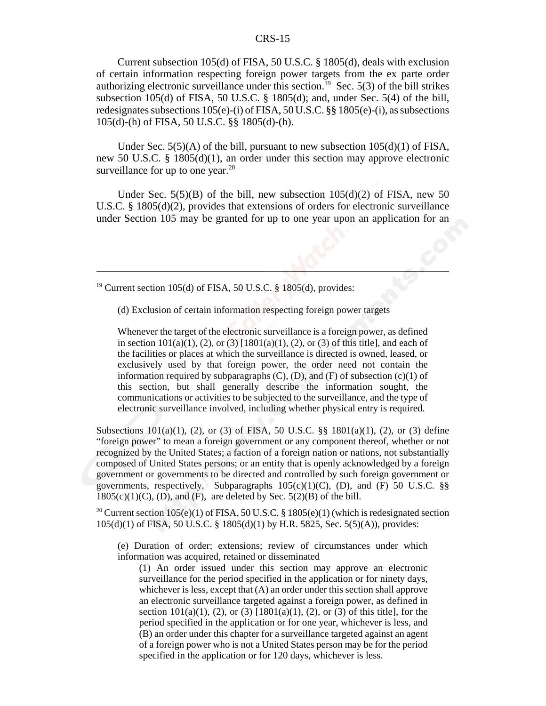Current subsection 105(d) of FISA, 50 U.S.C. § 1805(d), deals with exclusion of certain information respecting foreign power targets from the ex parte order authorizing electronic surveillance under this section.<sup>19</sup> Sec. 5(3) of the bill strikes subsection 105(d) of FISA, 50 U.S.C. § 1805(d); and, under Sec. 5(4) of the bill, redesignates subsections 105(e)-(i) of FISA, 50 U.S.C. §§ 1805(e)-(i), as subsections 105(d)-(h) of FISA, 50 U.S.C. §§ 1805(d)-(h).

Under Sec.  $5(5)(A)$  of the bill, pursuant to new subsection  $105(d)(1)$  of FISA, new 50 U.S.C. § 1805(d)(1), an order under this section may approve electronic surveillance for up to one year. $20$ 

Under Sec.  $5(5)(B)$  of the bill, new subsection  $105(d)(2)$  of FISA, new 50 U.S.C. § 1805(d)(2), provides that extensions of orders for electronic surveillance under Section 105 may be granted for up to one year upon an application for an

<sup>19</sup> Current section 105(d) of FISA, 50 U.S.C.  $\S$  1805(d), provides:

(d) Exclusion of certain information respecting foreign power targets

Whenever the target of the electronic surveillance is a foreign power, as defined in section  $101(a)(1)$ , (2), or (3)  $[1801(a)(1), (2),$  or (3) of this title], and each of the facilities or places at which the surveillance is directed is owned, leased, or exclusively used by that foreign power, the order need not contain the information required by subparagraphs  $(C)$ ,  $(D)$ , and  $(F)$  of subsection  $(c)(1)$  of this section, but shall generally describe the information sought, the communications or activities to be subjected to the surveillance, and the type of electronic surveillance involved, including whether physical entry is required.

Subsections  $101(a)(1)$ , (2), or (3) of FISA, 50 U.S.C. §§  $1801(a)(1)$ , (2), or (3) define "foreign power" to mean a foreign government or any component thereof, whether or not recognized by the United States; a faction of a foreign nation or nations, not substantially composed of United States persons; or an entity that is openly acknowledged by a foreign government or governments to be directed and controlled by such foreign government or governments, respectively. Subparagraphs  $105(c)(1)(C)$ , (D), and (F) 50 U.S.C. §§  $1805(c)(1)(C)$ , (D), and (F), are deleted by Sec.  $5(2)(B)$  of the bill.

<sup>20</sup> Current section 105(e)(1) of FISA, 50 U.S.C. § 1805(e)(1) (which is redesignated section 105(d)(1) of FISA, 50 U.S.C. § 1805(d)(1) by H.R. 5825, Sec. 5(5)(A)), provides:

(e) Duration of order; extensions; review of circumstances under which information was acquired, retained or disseminated

(1) An order issued under this section may approve an electronic surveillance for the period specified in the application or for ninety days, whichever is less, except that (A) an order under this section shall approve an electronic surveillance targeted against a foreign power, as defined in section  $101(a)(1)$ , (2), or (3)  $[1801(a)(1), (2),$  or (3) of this title], for the period specified in the application or for one year, whichever is less, and (B) an order under this chapter for a surveillance targeted against an agent of a foreign power who is not a United States person may be for the period specified in the application or for 120 days, whichever is less.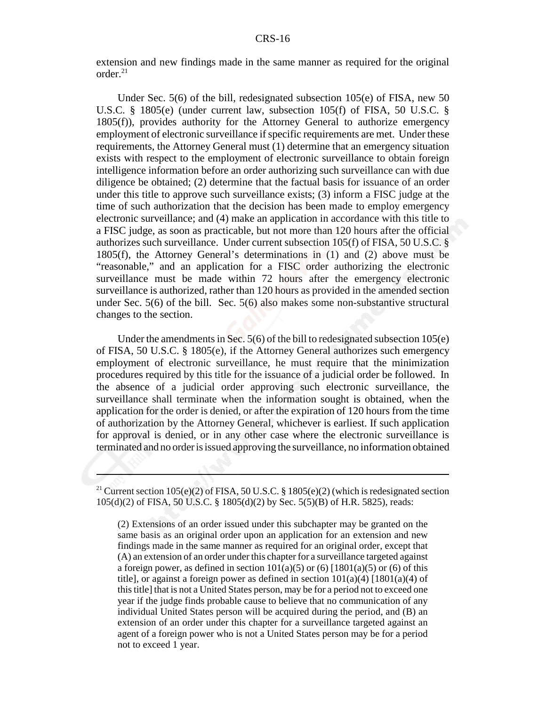extension and new findings made in the same manner as required for the original order. $^{21}$ 

Under Sec. 5(6) of the bill, redesignated subsection 105(e) of FISA, new 50 U.S.C. § 1805(e) (under current law, subsection 105(f) of FISA, 50 U.S.C. § 1805(f)), provides authority for the Attorney General to authorize emergency employment of electronic surveillance if specific requirements are met. Under these requirements, the Attorney General must (1) determine that an emergency situation exists with respect to the employment of electronic surveillance to obtain foreign intelligence information before an order authorizing such surveillance can with due diligence be obtained; (2) determine that the factual basis for issuance of an order under this title to approve such surveillance exists; (3) inform a FISC judge at the time of such authorization that the decision has been made to employ emergency electronic surveillance; and (4) make an application in accordance with this title to a FISC judge, as soon as practicable, but not more than 120 hours after the official authorizes such surveillance. Under current subsection 105(f) of FISA, 50 U.S.C. § 1805(f), the Attorney General's determinations in (1) and (2) above must be "reasonable," and an application for a FISC order authorizing the electronic surveillance must be made within 72 hours after the emergency electronic surveillance is authorized, rather than 120 hours as provided in the amended section under Sec. 5(6) of the bill. Sec. 5(6) also makes some non-substantive structural changes to the section.

Under the amendments in Sec. 5(6) of the bill to redesignated subsection 105(e) of FISA, 50 U.S.C. § 1805(e), if the Attorney General authorizes such emergency employment of electronic surveillance, he must require that the minimization procedures required by this title for the issuance of a judicial order be followed. In the absence of a judicial order approving such electronic surveillance, the surveillance shall terminate when the information sought is obtained, when the application for the order is denied, or after the expiration of 120 hours from the time of authorization by the Attorney General, whichever is earliest. If such application for approval is denied, or in any other case where the electronic surveillance is terminated and no order is issued approving the surveillance, no information obtained

<sup>21</sup> Current section 105(e)(2) of FISA, 50 U.S.C. § 1805(e)(2) (which is redesignated section 105(d)(2) of FISA, 50 U.S.C. § 1805(d)(2) by Sec. 5(5)(B) of H.R. 5825), reads:

(2) Extensions of an order issued under this subchapter may be granted on the same basis as an original order upon an application for an extension and new findings made in the same manner as required for an original order, except that (A) an extension of an order under this chapter for a surveillance targeted against a foreign power, as defined in section  $101(a)(5)$  or  $(6)$  [1801(a)(5) or  $(6)$  of this title], or against a foreign power as defined in section  $101(a)(4)$  [1801(a)(4) of this title] that is not a United States person, may be for a period not to exceed one year if the judge finds probable cause to believe that no communication of any individual United States person will be acquired during the period, and (B) an extension of an order under this chapter for a surveillance targeted against an agent of a foreign power who is not a United States person may be for a period not to exceed 1 year.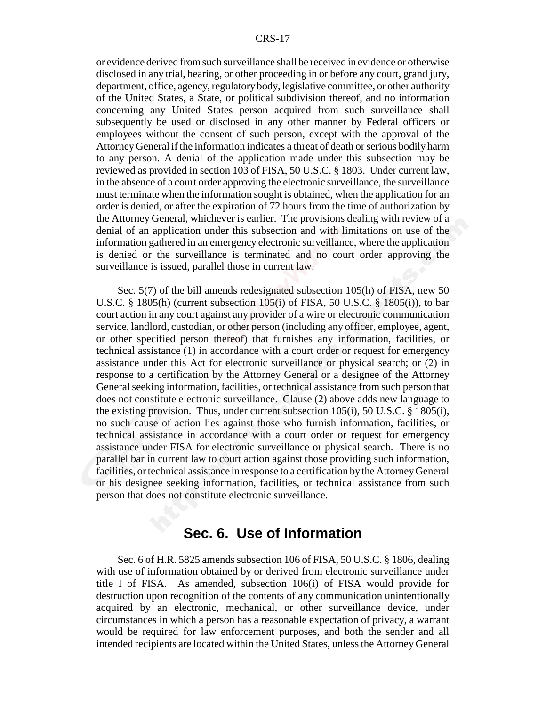or evidence derived from such surveillance shall be received in evidence or otherwise disclosed in any trial, hearing, or other proceeding in or before any court, grand jury, department, office, agency, regulatory body, legislative committee, or other authority of the United States, a State, or political subdivision thereof, and no information concerning any United States person acquired from such surveillance shall subsequently be used or disclosed in any other manner by Federal officers or employees without the consent of such person, except with the approval of the Attorney General if the information indicates a threat of death or serious bodily harm to any person. A denial of the application made under this subsection may be reviewed as provided in section 103 of FISA, 50 U.S.C. § 1803. Under current law, in the absence of a court order approving the electronic surveillance, the surveillance must terminate when the information sought is obtained, when the application for an order is denied, or after the expiration of 72 hours from the time of authorization by the Attorney General, whichever is earlier. The provisions dealing with review of a denial of an application under this subsection and with limitations on use of the information gathered in an emergency electronic surveillance, where the application is denied or the surveillance is terminated and no court order approving the surveillance is issued, parallel those in current law.

Sec. 5(7) of the bill amends redesignated subsection 105(h) of FISA, new 50 U.S.C.  $\S$  1805(h) (current subsection 105(i) of FISA, 50 U.S.C.  $\S$  1805(i)), to bar court action in any court against any provider of a wire or electronic communication service, landlord, custodian, or other person (including any officer, employee, agent, or other specified person thereof) that furnishes any information, facilities, or technical assistance (1) in accordance with a court order or request for emergency assistance under this Act for electronic surveillance or physical search; or (2) in response to a certification by the Attorney General or a designee of the Attorney General seeking information, facilities, or technical assistance from such person that does not constitute electronic surveillance. Clause (2) above adds new language to the existing provision. Thus, under current subsection 105(i), 50 U.S.C. § 1805(i), no such cause of action lies against those who furnish information, facilities, or technical assistance in accordance with a court order or request for emergency assistance under FISA for electronic surveillance or physical search. There is no parallel bar in current law to court action against those providing such information, facilities, or technical assistance in response to a certification by the Attorney General or his designee seeking information, facilities, or technical assistance from such person that does not constitute electronic surveillance.

## **Sec. 6. Use of Information**

Sec. 6 of H.R. 5825 amends subsection 106 of FISA, 50 U.S.C. § 1806, dealing with use of information obtained by or derived from electronic surveillance under title I of FISA. As amended, subsection 106(i) of FISA would provide for destruction upon recognition of the contents of any communication unintentionally acquired by an electronic, mechanical, or other surveillance device, under circumstances in which a person has a reasonable expectation of privacy, a warrant would be required for law enforcement purposes, and both the sender and all intended recipients are located within the United States, unless the Attorney General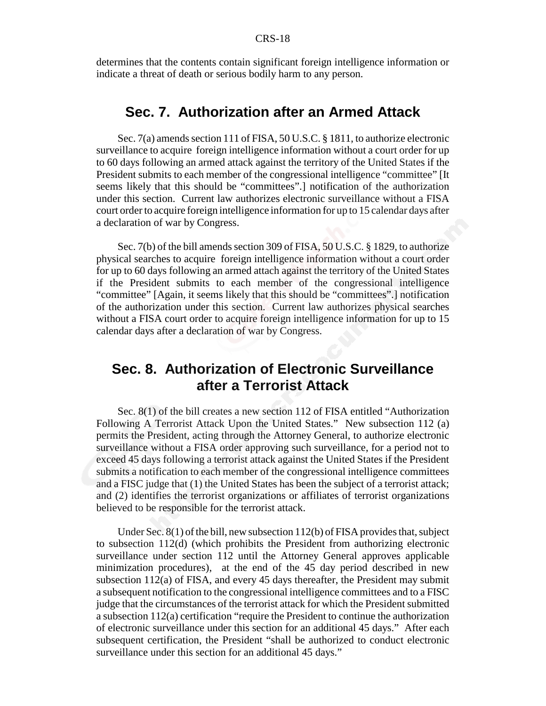determines that the contents contain significant foreign intelligence information or indicate a threat of death or serious bodily harm to any person.

## **Sec. 7. Authorization after an Armed Attack**

Sec. 7(a) amends section 111 of FISA, 50 U.S.C. § 1811, to authorize electronic surveillance to acquire foreign intelligence information without a court order for up to 60 days following an armed attack against the territory of the United States if the President submits to each member of the congressional intelligence "committee" [It seems likely that this should be "committees".] notification of the authorization under this section. Current law authorizes electronic surveillance without a FISA court order to acquire foreign intelligence information for up to 15 calendar days after a declaration of war by Congress.

Sec. 7(b) of the bill amends section 309 of FISA, 50 U.S.C. § 1829, to authorize physical searches to acquire foreign intelligence information without a court order for up to 60 days following an armed attach against the territory of the United States if the President submits to each member of the congressional intelligence "committee" [Again, it seems likely that this should be "committees".] notification of the authorization under this section. Current law authorizes physical searches without a FISA court order to acquire foreign intelligence information for up to 15 calendar days after a declaration of war by Congress.

## **Sec. 8. Authorization of Electronic Surveillance after a Terrorist Attack**

Sec. 8(1) of the bill creates a new section 112 of FISA entitled "Authorization Following A Terrorist Attack Upon the United States." New subsection 112 (a) permits the President, acting through the Attorney General, to authorize electronic surveillance without a FISA order approving such surveillance, for a period not to exceed 45 days following a terrorist attack against the United States if the President submits a notification to each member of the congressional intelligence committees and a FISC judge that (1) the United States has been the subject of a terrorist attack; and (2) identifies the terrorist organizations or affiliates of terrorist organizations believed to be responsible for the terrorist attack.

Under Sec. 8(1) of the bill, new subsection 112(b) of FISA provides that, subject to subsection 112(d) (which prohibits the President from authorizing electronic surveillance under section 112 until the Attorney General approves applicable minimization procedures), at the end of the 45 day period described in new subsection 112(a) of FISA, and every 45 days thereafter, the President may submit a subsequent notification to the congressional intelligence committees and to a FISC judge that the circumstances of the terrorist attack for which the President submitted a subsection 112(a) certification "require the President to continue the authorization of electronic surveillance under this section for an additional 45 days." After each subsequent certification, the President "shall be authorized to conduct electronic surveillance under this section for an additional 45 days."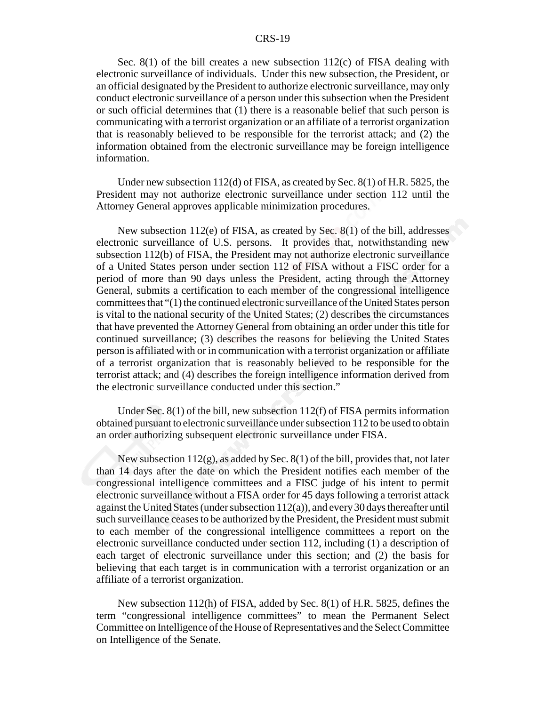Sec. 8(1) of the bill creates a new subsection 112(c) of FISA dealing with electronic surveillance of individuals. Under this new subsection, the President, or an official designated by the President to authorize electronic surveillance, may only conduct electronic surveillance of a person under this subsection when the President or such official determines that (1) there is a reasonable belief that such person is communicating with a terrorist organization or an affiliate of a terrorist organization that is reasonably believed to be responsible for the terrorist attack; and (2) the information obtained from the electronic surveillance may be foreign intelligence information.

Under new subsection 112(d) of FISA, as created by Sec. 8(1) of H.R. 5825, the President may not authorize electronic surveillance under section 112 until the Attorney General approves applicable minimization procedures.

New subsection 112(e) of FISA, as created by Sec. 8(1) of the bill, addresses electronic surveillance of U.S. persons. It provides that, notwithstanding new subsection 112(b) of FISA, the President may not authorize electronic surveillance of a United States person under section 112 of FISA without a FISC order for a period of more than 90 days unless the President, acting through the Attorney General, submits a certification to each member of the congressional intelligence committees that "(1) the continued electronic surveillance of the United States person is vital to the national security of the United States; (2) describes the circumstances that have prevented the Attorney General from obtaining an order under this title for continued surveillance; (3) describes the reasons for believing the United States person is affiliated with or in communication with a terrorist organization or affiliate of a terrorist organization that is reasonably believed to be responsible for the terrorist attack; and (4) describes the foreign intelligence information derived from the electronic surveillance conducted under this section."

Under Sec. 8(1) of the bill, new subsection 112(f) of FISA permits information obtained pursuant to electronic surveillance under subsection 112 to be used to obtain an order authorizing subsequent electronic surveillance under FISA.

New subsection 112(g), as added by Sec. 8(1) of the bill, provides that, not later than 14 days after the date on which the President notifies each member of the congressional intelligence committees and a FISC judge of his intent to permit electronic surveillance without a FISA order for 45 days following a terrorist attack against the United States (under subsection 112(a)), and every 30 days thereafter until such surveillance ceases to be authorized by the President, the President must submit to each member of the congressional intelligence committees a report on the electronic surveillance conducted under section 112, including (1) a description of each target of electronic surveillance under this section; and (2) the basis for believing that each target is in communication with a terrorist organization or an affiliate of a terrorist organization.

New subsection 112(h) of FISA, added by Sec. 8(1) of H.R. 5825, defines the term "congressional intelligence committees" to mean the Permanent Select Committee on Intelligence of the House of Representatives and the Select Committee on Intelligence of the Senate.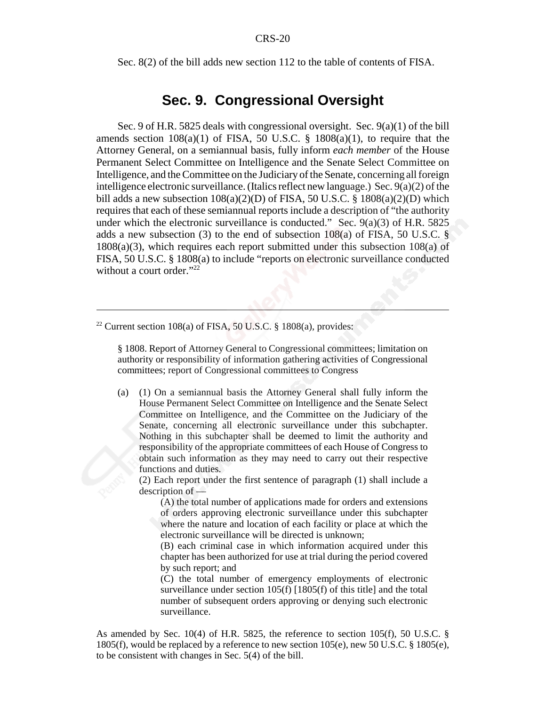Sec. 8(2) of the bill adds new section 112 to the table of contents of FISA.

## **Sec. 9. Congressional Oversight**

Sec. 9 of H.R. 5825 deals with congressional oversight. Sec. 9(a)(1) of the bill amends section  $108(a)(1)$  of FISA, 50 U.S.C. §  $1808(a)(1)$ , to require that the Attorney General, on a semiannual basis, fully inform *each member* of the House Permanent Select Committee on Intelligence and the Senate Select Committee on Intelligence, and the Committee on the Judiciary of the Senate, concerning all foreign intelligence electronic surveillance. (Italics reflect new language.) Sec. 9(a)(2) of the bill adds a new subsection  $108(a)(2)(D)$  of FISA, 50 U.S.C. §  $1808(a)(2)(D)$  which requires that each of these semiannual reports include a description of "the authority under which the electronic surveillance is conducted." Sec.  $9(a)(3)$  of H.R. 5825 adds a new subsection (3) to the end of subsection  $108(a)$  of FISA, 50 U.S.C. § 1808(a)(3), which requires each report submitted under this subsection 108(a) of FISA, 50 U.S.C. § 1808(a) to include "reports on electronic surveillance conducted without a court order."<sup>22</sup>

§ 1808. Report of Attorney General to Congressional committees; limitation on authority or responsibility of information gathering activities of Congressional committees; report of Congressional committees to Congress

(a) (1) On a semiannual basis the Attorney General shall fully inform the House Permanent Select Committee on Intelligence and the Senate Select Committee on Intelligence, and the Committee on the Judiciary of the Senate, concerning all electronic surveillance under this subchapter. Nothing in this subchapter shall be deemed to limit the authority and responsibility of the appropriate committees of each House of Congress to obtain such information as they may need to carry out their respective functions and duties.

(2) Each report under the first sentence of paragraph (1) shall include a description of —

(A) the total number of applications made for orders and extensions of orders approving electronic surveillance under this subchapter where the nature and location of each facility or place at which the electronic surveillance will be directed is unknown;

(B) each criminal case in which information acquired under this chapter has been authorized for use at trial during the period covered by such report; and

(C) the total number of emergency employments of electronic surveillance under section 105(f) [1805(f) of this title] and the total number of subsequent orders approving or denying such electronic surveillance.

As amended by Sec. 10(4) of H.R. 5825, the reference to section 105(f), 50 U.S.C.  $\S$ 1805(f), would be replaced by a reference to new section  $105(e)$ , new 50 U.S.C. § 1805(e), to be consistent with changes in Sec. 5(4) of the bill.

<sup>&</sup>lt;sup>22</sup> Current section 108(a) of FISA, 50 U.S.C. § 1808(a), provides: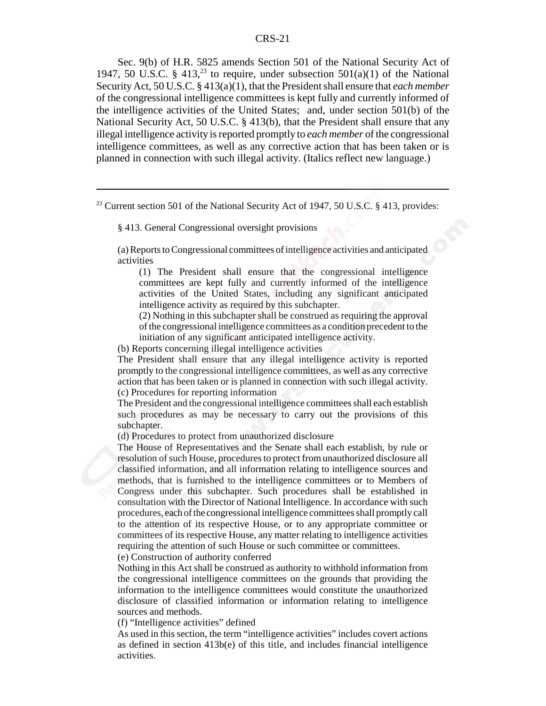Sec. 9(b) of H.R. 5825 amends Section 501 of the National Security Act of 1947, 50 U.S.C. § 413,<sup>23</sup> to require, under subsection 501(a)(1) of the National Security Act, 50 U.S.C. § 413(a)(1), that the President shall ensure that *each member* of the congressional intelligence committees is kept fully and currently informed of the intelligence activities of the United States; and, under section 501(b) of the National Security Act, 50 U.S.C. § 413(b), that the President shall ensure that any illegal intelligence activity is reported promptly to *each member* of the congressional intelligence committees, as well as any corrective action that has been taken or is planned in connection with such illegal activity. (Italics reflect new language.)

<sup>23</sup> Current section 501 of the National Security Act of 1947, 50 U.S.C. § 413, provides:

§ 413. General Congressional oversight provisions

(a) Reports to Congressional committees of intelligence activities and anticipated activities

(1) The President shall ensure that the congressional intelligence committees are kept fully and currently informed of the intelligence activities of the United States, including any significant anticipated intelligence activity as required by this subchapter.

(2) Nothing in this subchapter shall be construed as requiring the approval of the congressional intelligence committees as a condition precedent to the initiation of any significant anticipated intelligence activity.

(b) Reports concerning illegal intelligence activities

The President shall ensure that any illegal intelligence activity is reported promptly to the congressional intelligence committees, as well as any corrective action that has been taken or is planned in connection with such illegal activity. (c) Procedures for reporting information

The President and the congressional intelligence committees shall each establish such procedures as may be necessary to carry out the provisions of this subchapter.

(d) Procedures to protect from unauthorized disclosure

The House of Representatives and the Senate shall each establish, by rule or resolution of such House, procedures to protect from unauthorized disclosure all classified information, and all information relating to intelligence sources and methods, that is furnished to the intelligence committees or to Members of Congress under this subchapter. Such procedures shall be established in consultation with the Director of National Intelligence. In accordance with such procedures, each of the congressional intelligence committees shall promptly call to the attention of its respective House, or to any appropriate committee or committees of its respective House, any matter relating to intelligence activities requiring the attention of such House or such committee or committees.

(e) Construction of authority conferred

Nothing in this Act shall be construed as authority to withhold information from the congressional intelligence committees on the grounds that providing the information to the intelligence committees would constitute the unauthorized disclosure of classified information or information relating to intelligence sources and methods.

(f) "Intelligence activities" defined

As used in this section, the term "intelligence activities" includes covert actions as defined in section  $413b(e)$  of this title, and includes financial intelligence activities.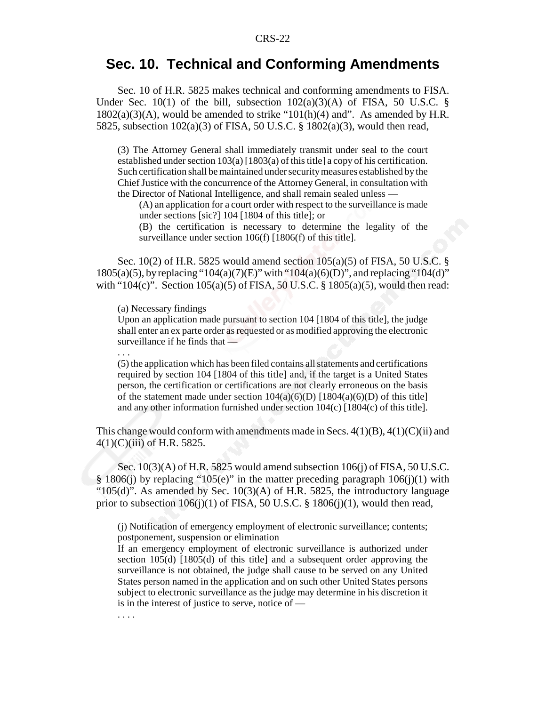## **Sec. 10. Technical and Conforming Amendments**

Sec. 10 of H.R. 5825 makes technical and conforming amendments to FISA. Under Sec. 10(1) of the bill, subsection  $102(a)(3)(A)$  of FISA, 50 U.S.C. §  $1802(a)(3)(A)$ , would be amended to strike " $101(h)(4)$  and". As amended by H.R. 5825, subsection 102(a)(3) of FISA, 50 U.S.C. § 1802(a)(3), would then read,

(3) The Attorney General shall immediately transmit under seal to the court established under section  $103(a)$  [1803(a) of this title] a copy of his certification. Such certification shall be maintained under security measures established by the Chief Justice with the concurrence of the Attorney General, in consultation with the Director of National Intelligence, and shall remain sealed unless —

(A) an application for a court order with respect to the surveillance is made under sections [sic?] 104 [1804 of this title]; or

(B) the certification is necessary to determine the legality of the surveillance under section 106(f) [1806(f) of this title].

Sec. 10(2) of H.R. 5825 would amend section 105(a)(5) of FISA, 50 U.S.C. § 1805(a)(5), by replacing "104(a)(7)(E)" with "104(a)(6)(D)", and replacing "104(d)" with "104(c)". Section  $105(a)(5)$  of FISA,  $50$  U.S.C. § 1805(a)(5), would then read:

(a) Necessary findings

. . .

. . . .

Upon an application made pursuant to section 104 [1804 of this title], the judge shall enter an ex parte order as requested or as modified approving the electronic surveillance if he finds that —

(5) the application which has been filed contains all statements and certifications required by section 104 [1804 of this title] and, if the target is a United States person, the certification or certifications are not clearly erroneous on the basis of the statement made under section  $104(a)(6)(D)$  [1804(a)(6)(D) of this title] and any other information furnished under section 104(c) [1804(c) of this title].

This change would conform with amendments made in Secs.  $4(1)(B)$ ,  $4(1)(C)(ii)$  and  $4(1)(C)(iii)$  of H.R. 5825.

Sec. 10(3)(A) of H.R. 5825 would amend subsection 106(j) of FISA, 50 U.S.C. § 1806(j) by replacing "105(e)" in the matter preceding paragraph 106(j)(1) with " $105(d)$ ". As amended by Sec.  $10(3)(A)$  of H.R. 5825, the introductory language prior to subsection  $106(j)(1)$  of FISA, 50 U.S.C. § 1806 $(j)(1)$ , would then read,

(j) Notification of emergency employment of electronic surveillance; contents; postponement, suspension or elimination

If an emergency employment of electronic surveillance is authorized under section 105(d) [1805(d) of this title] and a subsequent order approving the surveillance is not obtained, the judge shall cause to be served on any United States person named in the application and on such other United States persons subject to electronic surveillance as the judge may determine in his discretion it is in the interest of justice to serve, notice of —